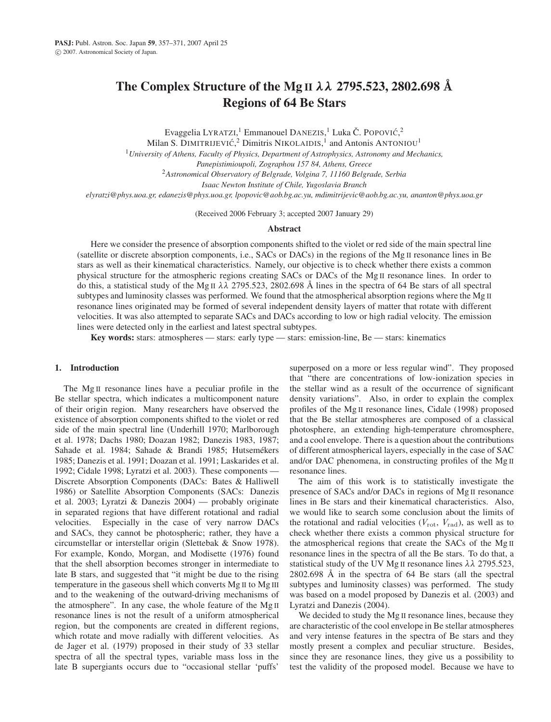# **The Complex Structure of the Mg II 2795.523, 2802.698 A˚ Regions of 64 Be Stars**

Evaggelia LYRATZI,<sup>1</sup> Emmanouel DANEZIS,<sup>1</sup> Luka Č. POPOVIĆ,<sup>2</sup>

Milan S. DIMITRIJEVIĆ, $^2$  Dimitris NIKOLAIDIS, $^1$  and Antonis ANTONIOU $^1$ 

<sup>1</sup>*University of Athens, Faculty of Physics, Department of Astrophysics, Astronomy and Mechanics,*

*Panepistimioupoli, Zographou 157 84, Athens, Greece*

<sup>2</sup>*Astronomical Observatory of Belgrade, Volgina 7, 11160 Belgrade, Serbia*

*Isaac Newton Institute of Chile, Yugoslavia Branch*

*elyratzi@phys.uoa.gr, edanezis@phys.uoa.gr, lpopovic@aob.bg.ac.yu, mdimitrijevic@aob.bg.ac.yu, ananton@phys.uoa.gr*

(Received 2006 February 3; accepted 2007 January 29)

## **Abstract**

Here we consider the presence of absorption components shifted to the violet or red side of the main spectral line (satellite or discrete absorption components, i.e., SACs or DACs) in the regions of the Mg II resonance lines in Be stars as well as their kinematical characteristics. Namely, our objective is to check whether there exists a common physical structure for the atmospheric regions creating SACs or DACs of the Mg II resonance lines. In order to do this, a statistical study of the Mg II  $\lambda\lambda$  2795.523, 2802.698 Å lines in the spectra of 64 Be stars of all spectral subtypes and luminosity classes was performed. We found that the atmospherical absorption regions where the Mg II resonance lines originated may be formed of several independent density layers of matter that rotate with different velocities. It was also attempted to separate SACs and DACs according to low or high radial velocity. The emission lines were detected only in the earliest and latest spectral subtypes.

**Key words:** stars: atmospheres — stars: early type — stars: emission-line, Be — stars: kinematics

## **1. Introduction**

The Mg II resonance lines have a peculiar profile in the Be stellar spectra, which indicates a multicomponent nature of their origin region. Many researchers have observed the existence of absorption components shifted to the violet or red side of the main spectral line (Underhill 1970; Marlborough et al. 1978; Dachs 1980; Doazan 1982; Danezis 1983, 1987; Sahade et al. 1984; Sahade & Brandi 1985; Hutsemékers 1985; Danezis et al. 1991; Doazan et al. 1991; Laskarides et al. 1992; Cidale 1998; Lyratzi et al. 2003). These components — Discrete Absorption Components (DACs: Bates & Halliwell 1986) or Satellite Absorption Components (SACs: Danezis et al. 2003; Lyratzi & Danezis 2004) — probably originate in separated regions that have different rotational and radial velocities. Especially in the case of very narrow DACs and SACs, they cannot be photospheric; rather, they have a circumstellar or interstellar origin (Slettebak & Snow 1978). For example, Kondo, Morgan, and Modisette (1976) found that the shell absorption becomes stronger in intermediate to late B stars, and suggested that "it might be due to the rising temperature in the gaseous shell which converts Mg II to Mg III and to the weakening of the outward-driving mechanisms of the atmosphere". In any case, the whole feature of the Mg II resonance lines is not the result of a uniform atmospherical region, but the components are created in different regions, which rotate and move radially with different velocities. As de Jager et al. (1979) proposed in their study of 33 stellar spectra of all the spectral types, variable mass loss in the late B supergiants occurs due to "occasional stellar 'puffs'

superposed on a more or less regular wind". They proposed that "there are concentrations of low-ionization species in the stellar wind as a result of the occurrence of significant density variations". Also, in order to explain the complex profiles of the Mg II resonance lines, Cidale (1998) proposed that the Be stellar atmospheres are composed of a classical photosphere, an extending high-temperature chromosphere, and a cool envelope. There is a question about the contributions of different atmospherical layers, especially in the case of SAC and/or DAC phenomena, in constructing profiles of the Mg II resonance lines.

The aim of this work is to statistically investigate the presence of SACs and/or DACs in regions of Mg II resonance lines in Be stars and their kinematical characteristics. Also, we would like to search some conclusion about the limits of the rotational and radial velocities ( $V_{\text{rot}}$ ,  $V_{\text{rad}}$ ), as well as to check whether there exists a common physical structure for the atmospherical regions that create the SACs of the Mg II resonance lines in the spectra of all the Be stars. To do that, a statistical study of the UV Mg II resonance lines  $\lambda \lambda$  2795.523,  $2802.698$  Å in the spectra of 64 Be stars (all the spectral subtypes and luminosity classes) was performed. The study was based on a model proposed by Danezis et al. (2003) and Lyratzi and Danezis (2004).

We decided to study the Mg<sub>II</sub> resonance lines, because they are characteristic of the cool envelope in Be stellar atmospheres and very intense features in the spectra of Be stars and they mostly present a complex and peculiar structure. Besides, since they are resonance lines, they give us a possibility to test the validity of the proposed model. Because we have to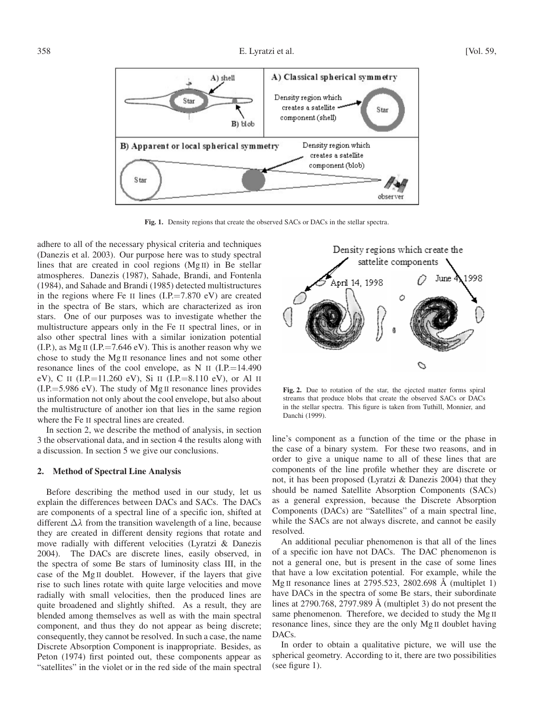

**Fig. 1.** Density regions that create the observed SACs or DACs in the stellar spectra.

adhere to all of the necessary physical criteria and techniques (Danezis et al. 2003). Our purpose here was to study spectral lines that are created in cool regions (Mg II) in Be stellar atmospheres. Danezis (1987), Sahade, Brandi, and Fontenla (1984), and Sahade and Brandi (1985) detected multistructures in the regions where Fe II lines  $(I.P.=7.870$  eV) are created in the spectra of Be stars, which are characterized as iron stars. One of our purposes was to investigate whether the multistructure appears only in the Fe II spectral lines, or in also other spectral lines with a similar ionization potential (I.P.), as  $Mg \text{II}$  (I.P.=7.646 eV). This is another reason why we chose to study the Mg II resonance lines and not some other resonance lines of the cool envelope, as N II  $(I.P.=14.490)$ eV), C II (I.P.=11.260 eV), Si II (I.P.=8.110 eV), or Al II (I.P.=5.986 eV). The study of Mg II resonance lines provides us information not only about the cool envelope, but also about the multistructure of another ion that lies in the same region where the Fe II spectral lines are created.

In section 2, we describe the method of analysis, in section 3 the observational data, and in section 4 the results along with a discussion. In section 5 we give our conclusions.

## **2. Method of Spectral Line Analysis**

Before describing the method used in our study, let us explain the differences between DACs and SACs. The DACs are components of a spectral line of a specific ion, shifted at different  $\Delta\lambda$  from the transition wavelength of a line, because they are created in different density regions that rotate and move radially with different velocities (Lyratzi & Danezis 2004). The DACs are discrete lines, easily observed, in the spectra of some Be stars of luminosity class III, in the case of the Mg II doublet. However, if the layers that give rise to such lines rotate with quite large velocities and move radially with small velocities, then the produced lines are quite broadened and slightly shifted. As a result, they are blended among themselves as well as with the main spectral component, and thus they do not appear as being discrete; consequently, they cannot be resolved. In such a case, the name Discrete Absorption Component is inappropriate. Besides, as Peton (1974) first pointed out, these components appear as "satellites" in the violet or in the red side of the main spectral



**Fig. 2.** Due to rotation of the star, the ejected matter forms spiral streams that produce blobs that create the observed SACs or DACs in the stellar spectra. This figure is taken from Tuthill, Monnier, and Danchi (1999).

line's component as a function of the time or the phase in the case of a binary system. For these two reasons, and in order to give a unique name to all of these lines that are components of the line profile whether they are discrete or not, it has been proposed (Lyratzi & Danezis 2004) that they should be named Satellite Absorption Components (SACs) as a general expression, because the Discrete Absorption Components (DACs) are "Satellites" of a main spectral line, while the SACs are not always discrete, and cannot be easily resolved.

An additional peculiar phenomenon is that all of the lines of a specific ion have not DACs. The DAC phenomenon is not a general one, but is present in the case of some lines that have a low excitation potential. For example, while the Mg II resonance lines at 2795.523, 2802.698 Å (multiplet 1) have DACs in the spectra of some Be stars, their subordinate lines at 2790.768, 2797.989 Å (multiplet 3) do not present the same phenomenon. Therefore, we decided to study the Mg II resonance lines, since they are the only Mg II doublet having DACs.

In order to obtain a qualitative picture, we will use the spherical geometry. According to it, there are two possibilities (see figure 1).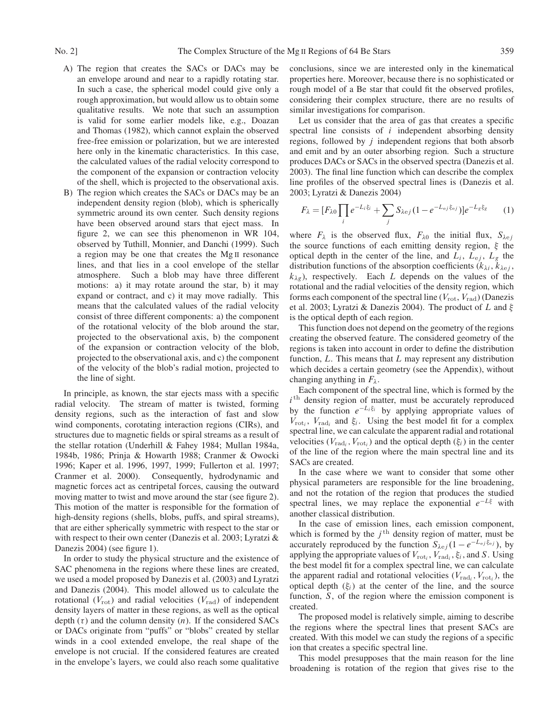- A) The region that creates the SACs or DACs may be an envelope around and near to a rapidly rotating star. In such a case, the spherical model could give only a rough approximation, but would allow us to obtain some qualitative results. We note that such an assumption is valid for some earlier models like, e.g., Doazan and Thomas (1982), which cannot explain the observed free-free emission or polarization, but we are interested here only in the kinematic characteristics. In this case, the calculated values of the radial velocity correspond to the component of the expansion or contraction velocity of the shell, which is projected to the observational axis.
- B) The region which creates the SACs or DACs may be an independent density region (blob), which is spherically symmetric around its own center. Such density regions have been observed around stars that eject mass. In figure 2, we can see this phenomenon in WR 104, observed by Tuthill, Monnier, and Danchi (1999). Such a region may be one that creates the Mg II resonance lines, and that lies in a cool envelope of the stellar atmosphere. Such a blob may have three different motions: a) it may rotate around the star, b) it may expand or contract, and c) it may move radially. This means that the calculated values of the radial velocity consist of three different components: a) the component of the rotational velocity of the blob around the star, projected to the observational axis, b) the component of the expansion or contraction velocity of the blob, projected to the observational axis, and c) the component of the velocity of the blob's radial motion, projected to the line of sight.

In principle, as known, the star ejects mass with a specific radial velocity. The stream of matter is twisted, forming density regions, such as the interaction of fast and slow wind components, corotating interaction regions (CIRs), and structures due to magnetic fields or spiral streams as a result of the stellar rotation (Underhill & Fahey 1984; Mullan 1984a, 1984b, 1986; Prinja & Howarth 1988; Cranmer & Owocki 1996; Kaper et al. 1996, 1997, 1999; Fullerton et al. 1997; Cranmer et al. 2000). Consequently, hydrodynamic and magnetic forces act as centripetal forces, causing the outward moving matter to twist and move around the star (see figure 2). This motion of the matter is responsible for the formation of high-density regions (shells, blobs, puffs, and spiral streams), that are either spherically symmetric with respect to the star or with respect to their own center (Danezis et al. 2003; Lyratzi & Danezis 2004) (see figure 1).

In order to study the physical structure and the existence of SAC phenomena in the regions where these lines are created, we used a model proposed by Danezis et al. (2003) and Lyratzi and Danezis (2004). This model allowed us to calculate the rotational  $(V_{\text{rot}})$  and radial velocities  $(V_{\text{rad}})$  of independent density layers of matter in these regions, as well as the optical depth  $(\tau)$  and the column density  $(n)$ . If the considered SACs or DACs originate from "puffs" or "blobs" created by stellar winds in a cool extended envelope, the real shape of the envelope is not crucial. If the considered features are created in the envelope's layers, we could also reach some qualitative conclusions, since we are interested only in the kinematical properties here. Moreover, because there is no sophisticated or rough model of a Be star that could fit the observed profiles, considering their complex structure, there are no results of similar investigations for comparison.

Let us consider that the area of gas that creates a specific spectral line consists of  $i$  independent absorbing density regions, followed by j independent regions that both absorb and emit and by an outer absorbing region. Such a structure produces DACs or SACs in the observed spectra (Danezis et al. 2003). The final line function which can describe the complex line profiles of the observed spectral lines is (Danezis et al. 2003; Lyratzi & Danezis 2004)

$$
F_{\lambda} = [F_{\lambda 0} \prod_{i} e^{-L_{i} \xi_{i}} + \sum_{j} S_{\lambda e_{j}} (1 - e^{-L_{ej} \xi_{ej}})] e^{-L_{g} \xi_{g}}
$$
 (1)

where  $F_{\lambda}$  is the observed flux,  $F_{\lambda 0}$  the initial flux,  $S_{\lambda e_j}$ the source functions of each emitting density region,  $\xi$  the optical depth in the center of the line, and  $L_i$ ,  $L_{ej}$ ,  $L_g$  the distribution functions of the absorption coefficients  $(k_{\lambda i}, k_{\lambda e_i})$ ,  $k_{\lambda\varrho}$ ), respectively. Each L depends on the values of the rotational and the radial velocities of the density region, which forms each component of the spectral line  $(V_{\text{rot}}, V_{\text{rad}})$  (Danezis et al. 2003; Lyratzi & Danezis 2004). The product of L and  $\xi$ is the optical depth of each region.

This function does not depend on the geometry of the regions creating the observed feature. The considered geometry of the regions is taken into account in order to define the distribution function,  $L$ . This means that  $L$  may represent any distribution which decides a certain geometry (see the Appendix), without changing anything in  $F_{\lambda}$ .

Each component of the spectral line, which is formed by the  $i$ <sup>th</sup> density region of matter, must be accurately reproduced by the function  $e^{-L_i \xi_i}$  by applying appropriate values of  $V_{\text{rot}_i}$ ,  $V_{\text{rad}_i}$  and  $\xi_i$ . Using the best model fit for a complex spectral line, we can calculate the apparent radial and rotational velocities ( $V_{\text{rad}_i}$ ,  $V_{\text{rot}_i}$ ) and the optical depth ( $\xi_i$ ) in the center of the line of the region where the main spectral line and its SACs are created.

In the case where we want to consider that some other physical parameters are responsible for the line broadening, and not the rotation of the region that produces the studied spectral lines, we may replace the exponential  $e^{-L\xi}$  with another classical distribution.

In the case of emission lines, each emission component, which is formed by the  $j<sup>th</sup>$  density region of matter, must be accurately reproduced by the function  $S_{\lambda ej} (1 - e^{-L_{ej} \xi_{ej}})$ , by<br>applying the appropriate values of  $V_{\lambda A}$ ,  $V_{\lambda A}$ ,  $\xi_{\lambda A}$  and S. Hsing applying the appropriate values of  $V_{\text{rot}_i}$ ,  $V_{\text{rad}_i}$ ,  $\xi_i$ , and S. Using the best model fit for a complex spectral line, we can calculate the apparent radial and rotational velocities  $(V_{\text{rad}_i}, V_{\text{rot}_i})$ , the optical depth  $(\xi_i)$  at the center of the line, and the source function, S, of the region where the emission component is created.

The proposed model is relatively simple, aiming to describe the regions where the spectral lines that present SACs are created. With this model we can study the regions of a specific ion that creates a specific spectral line.

This model presupposes that the main reason for the line broadening is rotation of the region that gives rise to the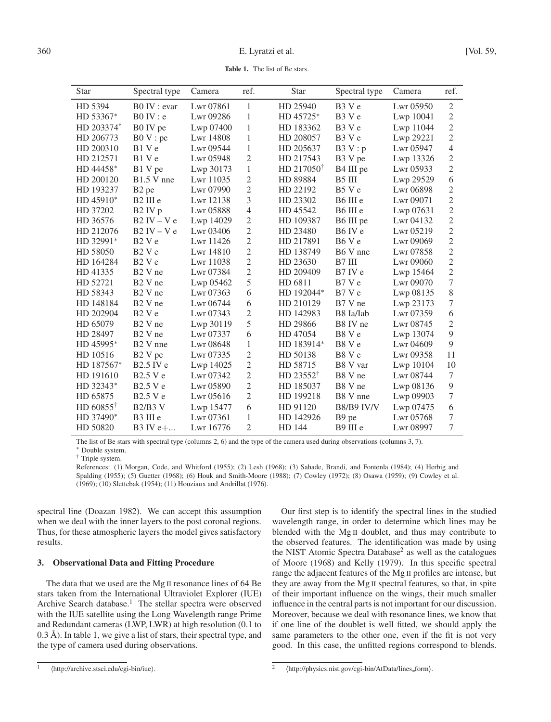**Table 1.** The list of Be stars.

| <b>Star</b>            | Spectral type        | Camera    | ref.           | <b>Star</b>            | Spectral type         | Camera    | ref.           |
|------------------------|----------------------|-----------|----------------|------------------------|-----------------------|-----------|----------------|
| HD 5394                | B0 IV : <i>evar</i>  | Lwr 07861 | $\mathbf{1}$   | HD 25940               | B3Ve                  | Lwr 05950 | $\overline{2}$ |
| HD 53367*              | BO IV : e            | Lwr 09286 | 1              | HD 45725*              | B <sub>3</sub> V e    | Lwp 10041 | $\overline{c}$ |
| HD 203374 <sup>†</sup> | B0 IV pe             | Lwp 07400 | 1              | HD 183362              | B <sub>3</sub> V e    | Lwp 11044 | $\overline{2}$ |
| HD 206773              | BOV:pe               | Lwr 14808 | 1              | HD 208057              | B3 V e                | Lwp 29221 | $\overline{2}$ |
| HD 200310              | B1Ve                 | Lwr 09544 | $\mathbf{1}$   | HD 205637              | B3V:p                 | Lwr 05947 | $\overline{4}$ |
| HD 212571              | B1Ve                 | Lwr 05948 | $\mathfrak{2}$ | HD 217543              | B3 V pe               | Lwp 13326 | $\overline{c}$ |
| HD 44458*              | B1 V pe              | Lwp 30173 | $\mathbf{1}$   | HD 217050 <sup>†</sup> | B <sub>4</sub> III pe | Lwr 05933 | $\overline{2}$ |
| HD 200120              | $B1.5$ V nne         | Lwr 11035 | $\mathfrak{2}$ | HD 89884               | B5 III                | Lwp 29529 | 6              |
| HD 193237              | B <sub>2</sub> pe    | Lwr 07990 | $\overline{2}$ | HD 22192               | B5Ve                  | Lwr 06898 | $\overline{2}$ |
| HD 45910*              | B <sub>2</sub> III e | Lwr 12138 | 3              | HD 23302               | B6 III e              | Lwr 09071 | $\overline{2}$ |
| HD 37202               | B <sub>2</sub> IV p  | Lwr 05888 | $\overline{4}$ | HD 45542               | B6 III e              | Lwp 07631 | $\overline{2}$ |
| HD 36576               | $B2 IV - V e$        | Lwp 14029 | $\mathfrak{2}$ | HD 109387              | B6 III pe             | Lwr 04132 | $\overline{2}$ |
| HD 212076              | $B2 IV - V e$        | Lwr 03406 | $\mathfrak{2}$ | HD 23480               | B <sub>6</sub> IV e   | Lwr 05219 | $\overline{2}$ |
| HD 32991*              | B <sub>2</sub> V e   | Lwr 11426 | $\overline{2}$ | HD 217891              | B6Ve                  | Lwr 09069 | $\overline{2}$ |
| HD 58050               | B2Ve                 | Lwr 14810 | $\overline{2}$ | HD 138749              | B6 V nne              | Lwr 07858 | $\overline{2}$ |
| HD 164284              | B2Ve                 | Lwr 11038 | $\overline{2}$ | HD 23630               | B7 III                | Lwr 09060 | $\overline{2}$ |
| HD 41335               | B <sub>2</sub> V ne  | Lwr 07384 | $\overline{2}$ | HD 209409              | B7 IV e               | Lwp 15464 | $\overline{2}$ |
| HD 52721               | B <sub>2</sub> V ne  | Lwp 05462 | 5              | HD 6811                | B7Ve                  | Lwr 09070 | 7              |
| HD 58343               | B <sub>2</sub> V ne  | Lwr 07363 | 6              | HD 192044*             | B7Ve                  | Lwp 08135 | 8              |
| HD 148184              | B <sub>2</sub> V ne  | Lwr 06744 | 6              | HD 210129              | B7 V ne               | Lwp 23173 | 7              |
| HD 202904              | B <sub>2</sub> V e   | Lwr 07343 | $\overline{2}$ | HD 142983              | B8 Ia/Iab             | Lwr 07359 | 6              |
| HD 65079               | B <sub>2</sub> V ne  | Lwp 30119 | 5              | HD 29866               | B8 IV ne              | Lwr 08745 | $\overline{2}$ |
| HD 28497               | B <sub>2</sub> V ne  | Lwr 07337 | 6              | HD 47054               | B8 V e                | Lwp 13074 | 9              |
| HD 45995*              | B <sub>2</sub> V nne | Lwr 08648 | 1              | HD 183914*             | B8 V e                | Lwr 04609 | 9              |
| HD 10516               | B2 V pe              | Lwr 07335 | $\mathfrak{2}$ | HD 50138               | B8 V e                | Lwr 09358 | 11             |
| HD 187567*             | $B2.5$ IV e          | Lwp 14025 | $\overline{2}$ | HD 58715               | B8 V var              | Lwp 10104 | 10             |
| HD 191610              | B2.5 V e             | Lwr 07342 | $\overline{2}$ | HD 23552 <sup>†</sup>  | B8 V ne               | Lwr 08744 | 7              |
| HD 32343*              | <b>B2.5 V e</b>      | Lwr 05890 | $\overline{2}$ | HD 185037              | B8 V ne               | Lwp 08136 | 9              |
| HD 65875               | <b>B2.5 V e</b>      | Lwr 05616 | $\mathfrak{2}$ | HD 199218              | B8 V nne              | Lwp 09903 | 7              |
| $HD 60855^{\dagger}$   | $B2/B3$ V            | Lwp 15477 | 6              | HD 91120               | <b>B8/B9 IV/V</b>     | Lwp 07475 | 6              |
| HD 37490*              | B3 III e             | Lwr 07361 | 1              | HD 142926              | B9 pe                 | Lwr 05768 | 7              |
| HD 50820               | B3 IV $e+$           | Lwr 16776 | $\overline{2}$ | HD 144                 | B9 III e              | Lwr 08997 | 7              |

The list of Be stars with spectral type (columns 2, 6) and the type of the camera used during observations (columns 3, 7).

Double system.

<sup>†</sup> Triple system.

References: (1) Morgan, Code, and Whitford (1955); (2) Lesh (1968); (3) Sahade, Brandi, and Fontenla (1984); (4) Herbig and Spalding (1955); (5) Guetter (1968); (6) Houk and Smith-Moore (1988); (7) Cowley (1972); (8) Osawa (1959); (9) Cowley et al. (1969); (10) Slettebak (1954); (11) Houziaux and Andrillat (1976).

2

spectral line (Doazan 1982). We can accept this assumption when we deal with the inner layers to the post coronal regions. Thus, for these atmospheric layers the model gives satisfactory results.

## **3. Observational Data and Fitting Procedure**

The data that we used are the Mg II resonance lines of 64 Be stars taken from the International Ultraviolet Explorer (IUE) Archive Search database.<sup>1</sup> The stellar spectra were observed with the IUE satellite using the Long Wavelength range Prime and Redundant cameras (LWP, LWR) at high resolution (0.1 to  $(0.3 \text{ Å})$ . In table 1, we give a list of stars, their spectral type, and the type of camera used during observations.

Our first step is to identify the spectral lines in the studied wavelength range, in order to determine which lines may be blended with the Mg II doublet, and thus may contribute to the observed features. The identification was made by using the NIST Atomic Spectra Database<sup>2</sup> as well as the catalogues of Moore (1968) and Kelly (1979). In this specific spectral range the adjacent features of the Mg II profiles are intense, but they are away from the Mg II spectral features, so that, in spite of their important influence on the wings, their much smaller influence in the central parts is not important for our discussion. Moreover, because we deal with resonance lines, we know that if one line of the doublet is well fitted, we should apply the same parameters to the other one, even if the fit is not very good. In this case, the unfitted regions correspond to blends.

1

 $\langle$ http://archive.stsci.edu/cgi-bin/iue $\rangle$ .

hhttp://physics.nist.gov/cgi-bin/AtData/lines formi.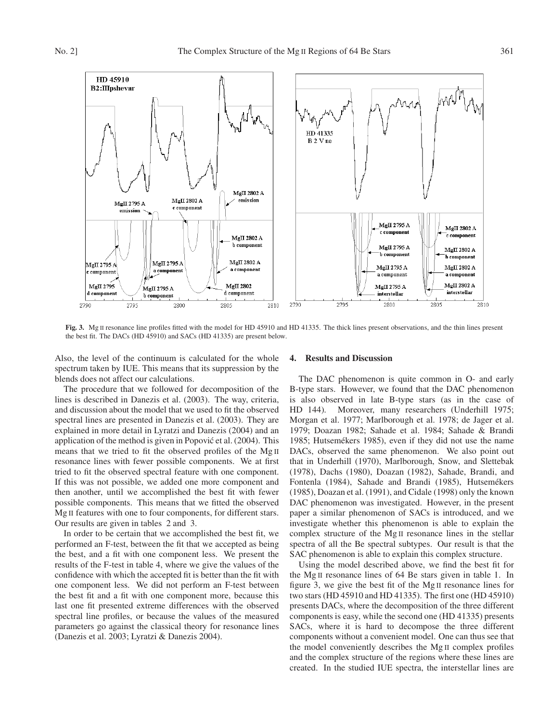

**Fig. 3.** Mg II resonance line profiles fitted with the model for HD 45910 and HD 41335. The thick lines present observations, and the thin lines present the best fit. The DACs (HD 45910) and SACs (HD 41335) are present below.

Also, the level of the continuum is calculated for the whole spectrum taken by IUE. This means that its suppression by the blends does not affect our calculations.

The procedure that we followed for decomposition of the lines is described in Danezis et al. (2003). The way, criteria, and discussion about the model that we used to fit the observed spectral lines are presented in Danezis et al. (2003). They are explained in more detail in Lyratzi and Danezis (2004) and an application of the method is given in Popović et al. (2004). This means that we tried to fit the observed profiles of the Mg II resonance lines with fewer possible components. We at first tried to fit the observed spectral feature with one component. If this was not possible, we added one more component and then another, until we accomplished the best fit with fewer possible components. This means that we fitted the observed Mg II features with one to four components, for different stars. Our results are given in tables 2 and 3.

In order to be certain that we accomplished the best fit, we performed an F-test, between the fit that we accepted as being the best, and a fit with one component less. We present the results of the F-test in table 4, where we give the values of the confidence with which the accepted fit is better than the fit with one component less. We did not perform an F-test between the best fit and a fit with one component more, because this last one fit presented extreme differences with the observed spectral line profiles, or because the values of the measured parameters go against the classical theory for resonance lines (Danezis et al. 2003; Lyratzi & Danezis 2004).

### **4. Results and Discussion**

The DAC phenomenon is quite common in O- and early B-type stars. However, we found that the DAC phenomenon is also observed in late B-type stars (as in the case of HD 144). Moreover, many researchers (Underhill 1975; Morgan et al. 1977; Marlborough et al. 1978; de Jager et al. 1979; Doazan 1982; Sahade et al. 1984; Sahade & Brandi 1985; Hutsemékers 1985), even if they did not use the name DACs, observed the same phenomenon. We also point out that in Underhill (1970), Marlborough, Snow, and Slettebak (1978), Dachs (1980), Doazan (1982), Sahade, Brandi, and Fontenla (1984), Sahade and Brandi (1985), Hutsemékers (1985), Doazan et al. (1991), and Cidale (1998) only the known DAC phenomenon was investigated. However, in the present paper a similar phenomenon of SACs is introduced, and we investigate whether this phenomenon is able to explain the complex structure of the Mg II resonance lines in the stellar spectra of all the Be spectral subtypes. Our result is that the SAC phenomenon is able to explain this complex structure.

Using the model described above, we find the best fit for the Mg II resonance lines of 64 Be stars given in table 1. In figure 3, we give the best fit of the Mg II resonance lines for two stars (HD 45910 and HD 41335). The first one (HD 45910) presents DACs, where the decomposition of the three different components is easy, while the second one (HD 41335) presents SACs, where it is hard to decompose the three different components without a convenient model. One can thus see that the model conveniently describes the Mg II complex profiles and the complex structure of the regions where these lines are created. In the studied IUE spectra, the interstellar lines are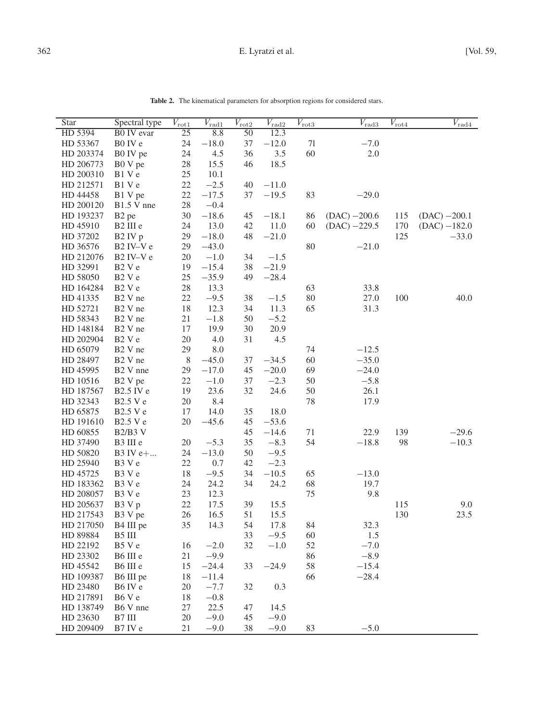## 362 E. Lyratzi et al. [Vol. 59,

| <b>Star</b> | Spectral type                           | $\overline{V}_{\text{rot1}}$ | $\overline{V}_{\text{rad1}}$ | $\overline{V}_{\rm rot2}$ | $\overline{V_{\rm rad2}}$ | $\overline{V_{\rm rot3}}$ | $\overline{V_{\rm rad3}}$ | $V_{\rm rot4}$ | $\overline{V}_{\rm rad \underline{4}}$ |
|-------------|-----------------------------------------|------------------------------|------------------------------|---------------------------|---------------------------|---------------------------|---------------------------|----------------|----------------------------------------|
| HD 5394     | <b>B0 IV</b> evar                       | $\overline{25}$              | 8.8                          | $\overline{50}$           | 12.3                      |                           |                           |                |                                        |
| HD 53367    | B0 IV e                                 | 24                           | $-18.0$                      | 37                        | $-12.0$                   | 71                        | $-7.0$                    |                |                                        |
| HD 203374   | B0 IV pe                                | 24                           | 4.5                          | 36                        | 3.5                       | 60                        | 2.0                       |                |                                        |
| HD 206773   | B0 V pe                                 | 28                           | 15.5                         | 46                        | 18.5                      |                           |                           |                |                                        |
| HD 200310   | B1 V e                                  | 25                           | 10.1                         |                           |                           |                           |                           |                |                                        |
| HD 212571   | B1 V e                                  | $22\,$                       | $-2.5$                       | 40                        | $-11.0$                   |                           |                           |                |                                        |
| HD 44458    | B1 V pe                                 | $22\,$                       | $-17.5$                      | 37                        | $-19.5$                   | 83                        | $-29.0$                   |                |                                        |
| HD 200120   | B1.5 V nne                              | 28                           | $-0.4$                       |                           |                           |                           |                           |                |                                        |
| HD 193237   | B <sub>2</sub> pe                       | 30                           | $-18.6$                      | 45                        | $-18.1$                   | 86                        | $(DAC) - 200.6$           | 115            | $(DAC) - 200.1$                        |
| HD 45910    | B <sub>2</sub> III e                    | 24                           | 13.0                         | 42                        | 11.0                      | 60                        | $(DAC) - 229.5$           | 170            | $(DAC) - 182.0$                        |
| HD 37202    | B <sub>2</sub> IV p                     | 29                           | $-18.0$                      | 48                        | $-21.0$                   |                           |                           | 125            | $-33.0$                                |
| HD 36576    | B2 IV-V e                               | 29                           | $-43.0$                      |                           |                           | 80                        | $-21.0$                   |                |                                        |
| HD 212076   | B2 IV-Ve                                | 20                           | $-1.0$                       | 34                        | $-1.5$                    |                           |                           |                |                                        |
| HD 32991    | B <sub>2</sub> V e                      | 19                           | $-15.4$                      | 38                        | $-21.9$                   |                           |                           |                |                                        |
| HD 58050    | B <sub>2</sub> V e                      | 25                           | $-35.9$                      | 49                        | $-28.4$                   |                           |                           |                |                                        |
| HD 164284   | B <sub>2</sub> V e                      | 28                           | 13.3                         |                           |                           | 63                        | 33.8                      |                |                                        |
| HD 41335    | B <sub>2</sub> V ne                     | $22\,$                       | $-9.5$                       | 38                        | $-1.5$                    | 80                        | 27.0                      | 100            | 40.0                                   |
| HD 52721    | B <sub>2</sub> V ne                     | 18                           | 12.3                         | 34                        | 11.3                      | 65                        | 31.3                      |                |                                        |
| HD 58343    | B <sub>2</sub> V ne                     | 21                           | $-1.8$                       | 50                        | $-5.2$                    |                           |                           |                |                                        |
| HD 148184   | B <sub>2</sub> V ne                     | 17                           | 19.9                         | 30                        | 20.9                      |                           |                           |                |                                        |
| HD 202904   | B <sub>2</sub> V e                      | $20\,$                       | 4.0                          | 31                        | 4.5                       |                           |                           |                |                                        |
| HD 65079    | B <sub>2</sub> V ne                     | 29                           | 8.0                          |                           |                           | 74                        | $-12.5$                   |                |                                        |
| HD 28497    | B <sub>2</sub> V ne                     | $8\,$                        | $-45.0$                      | 37                        | $-34.5$                   | 60                        | $-35.0$                   |                |                                        |
| HD 45995    | B <sub>2</sub> V nne                    | 29                           | $-17.0$                      | 45                        | $-20.0$                   | 69                        | $-24.0$                   |                |                                        |
|             |                                         | 22                           | $-1.0$                       | 37                        | $-2.3$                    | 50                        | $-5.8$                    |                |                                        |
| HD 10516    | B <sub>2</sub> V pe<br><b>B2.5 IV e</b> |                              | 23.6                         | 32                        | 24.6                      |                           |                           |                |                                        |
| HD 187567   |                                         | 19                           |                              |                           |                           | 50                        | 26.1                      |                |                                        |
| HD 32343    | <b>B2.5 V e</b>                         | 20                           | 8.4                          |                           |                           | 78                        | 17.9                      |                |                                        |
| HD 65875    | <b>B2.5 V e</b>                         | 17                           | 14.0                         | 35                        | 18.0                      |                           |                           |                |                                        |
| HD 191610   | <b>B2.5 V e</b>                         | $20\,$                       | $-45.6$                      | 45                        | $-53.6$                   |                           |                           |                |                                        |
| HD 60855    | <b>B2/B3 V</b>                          |                              |                              | 45                        | $-14.6$                   | 71                        | 22.9                      | 139            | $-29.6$                                |
| HD 37490    | B3 III e                                | 20                           | $-5.3$                       | 35                        | $-8.3$                    | 54                        | $-18.8$                   | 98             | $-10.3$                                |
| HD 50820    | B3 IV e+                                | 24                           | $-13.0$                      | 50                        | $-9.5$                    |                           |                           |                |                                        |
| HD 25940    | B3 V e                                  | 22                           | 0.7                          | 42                        | $-2.3$                    |                           |                           |                |                                        |
| HD 45725    | B3 V e                                  | 18                           | $-9.5$                       | 34                        | $-10.5$                   | 65                        | $-13.0$                   |                |                                        |
| HD 183362   | B3 V e                                  | 24                           | 24.2                         | 34                        | 24.2                      | 68                        | 19.7                      |                |                                        |
| HD 208057   | B3 V e                                  | 23                           | 12.3                         |                           |                           | 75                        | 9.8                       |                |                                        |
| HD 205637   | B <sub>3</sub> V <sub>p</sub>           | $22\,$                       | 17.5                         | 39                        | 15.5                      |                           |                           | 115            | 9.0                                    |
| HD 217543   | B3 V pe                                 | 26                           | 16.5                         | 51                        | 15.5                      |                           |                           | 130            | 23.5                                   |
| HD 217050   | B4 III pe                               | 35                           | 14.3                         | 54                        | 17.8                      | 84                        | 32.3                      |                |                                        |
| HD 89884    | B5 III                                  |                              |                              | 33                        | $-9.5$                    | 60                        | 1.5                       |                |                                        |
| HD 22192    | B5 V e                                  | 16                           | $-2.0$                       | 32                        | $-1.0$                    | 52                        | $-7.0$                    |                |                                        |
| HD 23302    | B6 III e                                | 21                           | $-9.9$                       |                           |                           | 86                        | $-8.9$                    |                |                                        |
| HD 45542    | B6 III e                                | 15                           | $-24.4$                      | 33                        | $-24.9$                   | 58                        | $-15.4$                   |                |                                        |
| HD 109387   | B6 III pe                               | 18                           | $-11.4$                      |                           |                           | 66                        | $-28.4$                   |                |                                        |
| HD 23480    | B6 IV e                                 | 20                           | $-7.7$                       | 32                        | 0.3                       |                           |                           |                |                                        |
| HD 217891   | B6 V e                                  | 18                           | $-0.8$                       |                           |                           |                           |                           |                |                                        |
| HD 138749   | B6 V nne                                | 27                           | 22.5                         | 47                        | 14.5                      |                           |                           |                |                                        |
| HD 23630    | $B7$ III                                | $20\,$                       | $-9.0$                       | 45                        | $-9.0$                    |                           |                           |                |                                        |
| HD 209409   | B7 IV e                                 | 21                           | $-9.0$                       | 38                        | $-9.0$                    | 83                        | $-5.0$                    |                |                                        |

**Table 2.** The kinematical parameters for absorption regions for considered stars.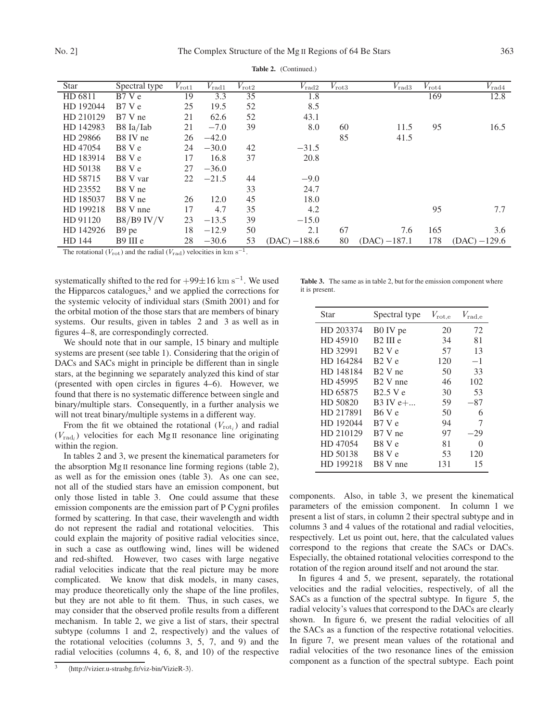| Star                                                                                                       | Spectral type       | $V_{\rm rot1}$ | $V_{\rm rad1}$ | $V_{\rm rot2}$ | $V_{\rm rad2}$  | $V_{\rm rot3}$ | $V_{\rm rad3}$  | $V_{\rm rot4}$ | $V_{\rm rad4}$  |
|------------------------------------------------------------------------------------------------------------|---------------------|----------------|----------------|----------------|-----------------|----------------|-----------------|----------------|-----------------|
| HD 6811                                                                                                    | B7Ve                | 19             | 3.3            | 35             | 1.8             |                |                 | 169            | 12.8            |
| HD 192044                                                                                                  | B7Ve                | 25             | 19.5           | 52             | 8.5             |                |                 |                |                 |
| HD 210129                                                                                                  | B7 V ne             | 21             | 62.6           | 52             | 43.1            |                |                 |                |                 |
| HD 142983                                                                                                  | B8 Ia/Iab           | 21             | $-7.0$         | 39             | 8.0             | 60             | 11.5            | 95             | 16.5            |
| HD 29866                                                                                                   | B8 IV ne            | 26             | $-42.0$        |                |                 | 85             | 41.5            |                |                 |
| HD 47054                                                                                                   | B <sub>8</sub> V e  | 24             | $-30.0$        | 42             | $-31.5$         |                |                 |                |                 |
| HD 183914                                                                                                  | B8 V e              | 17             | 16.8           | 37             | 20.8            |                |                 |                |                 |
| HD 50138                                                                                                   | B <sub>8</sub> V e  | 27             | $-36.0$        |                |                 |                |                 |                |                 |
| HD 58715                                                                                                   | B8 V var            | 22             | $-21.5$        | 44             | $-9.0$          |                |                 |                |                 |
| HD 23552                                                                                                   | B8 V ne             |                |                | 33             | 24.7            |                |                 |                |                 |
| HD 185037                                                                                                  | B <sub>8</sub> V ne | 26             | 12.0           | 45             | 18.0            |                |                 |                |                 |
| HD 199218                                                                                                  | B8 V nne            | 17             | 4.7            | 35             | 4.2             |                |                 | 95             | 7.7             |
| HD 91120                                                                                                   | B8/B9 IV/V          | 23             | $-13.5$        | 39             | $-15.0$         |                |                 |                |                 |
| HD 142926                                                                                                  | B <sub>9</sub> pe   | 18             | $-12.9$        | 50             | 2.1             | 67             | 7.6             | 165            | 3.6             |
| HD 144                                                                                                     | $B9$ III $e$        | 28             | $-30.6$        | 53             | $(DAC) - 188.6$ | 80             | $(DAC) - 187.1$ | 178            | $(DAC) - 129.6$ |
| The rotational ( $V_{\text{rot}}$ ) and the radial ( $V_{\text{rad}}$ ) velocities in km s <sup>-1</sup> . |                     |                |                |                |                 |                |                 |                |                 |

**Table 2.** (Continued.)

systematically shifted to the red for  $+99\pm16$  km s<sup>-1</sup>. We used<br>the Hinnarcos catalogues <sup>3</sup> and we annlied the corrections for the Hipparcos catalogues, $3$  and we applied the corrections for the systemic velocity of individual stars (Smith 2001) and for the orbital motion of the those stars that are members of binary systems. Our results, given in tables 2 and 3 as well as in figures 4–8, are correspondingly corrected.

We should note that in our sample, 15 binary and multiple systems are present (see table 1). Considering that the origin of DACs and SACs might in principle be different than in single stars, at the beginning we separately analyzed this kind of star (presented with open circles in figures 4–6). However, we found that there is no systematic difference between single and binary/multiple stars. Consequently, in a further analysis we will not treat binary/multiple systems in a different way.

From the fit we obtained the rotational  $(V_{\text{rot}_i})$  and radial  $(V_{\text{rad}_i})$  velocities for each Mg II resonance line originating within the region.

In tables 2 and 3, we present the kinematical parameters for the absorption Mg II resonance line forming regions (table 2), as well as for the emission ones (table 3). As one can see, not all of the studied stars have an emission component, but only those listed in table 3. One could assume that these emission components are the emission part of P Cygni profiles formed by scattering. In that case, their wavelength and width do not represent the radial and rotational velocities. This could explain the majority of positive radial velocities since, in such a case as outflowing wind, lines will be widened and red-shifted. However, two cases with large negative radial velocities indicate that the real picture may be more complicated. We know that disk models, in many cases, may produce theoretically only the shape of the line profiles, but they are not able to fit them. Thus, in such cases, we may consider that the observed profile results from a different mechanism. In table 2, we give a list of stars, their spectral subtype (columns 1 and 2, respectively) and the values of the rotational velocities (columns 3, 5, 7, and 9) and the radial velocities (columns 4, 6, 8, and 10) of the respective

3

**Table 3.** The same as in table 2, but for the emission component where it is present.

| Star      | Spectral type        | $V_{\rm rot,e}$ | $V_{\rm rad,e}$ |
|-----------|----------------------|-----------------|-----------------|
| HD 203374 | B0 IV pe             | 20              | 72              |
| HD 45910  | B <sub>2</sub> III e | 34              | 81              |
| HD 32991  | B2Ve                 | 57              | 13              |
| HD 164284 | $R2V$ e              | 120             | $-1$            |
| HD 148184 | $B2V$ ne             | 50              | 33              |
| HD 45995  | B <sub>2</sub> V nne | 46              | 102             |
| HD 65875  | $B2.5$ V e           | 30              | 53              |
| HD 50820  | $B3$ IV e+           | 59              | $-87$           |
| HD 217891 | B6 V e               | 50              | 6               |
| HD 192044 | B7 V e               | 94              | 7               |
| HD 210129 | B7 V ne              | 97              | -29             |
| HD 47054  | B8 V e               | 81              | 0               |
| HD 50138  | B8 V e               | 53              | 120             |
| HD 199218 | B8 V nne             | 131             | 15              |

components. Also, in table 3, we present the kinematical parameters of the emission component. In column 1 we present a list of stars, in column 2 their spectral subtype and in columns 3 and 4 values of the rotational and radial velocities, respectively. Let us point out, here, that the calculated values correspond to the regions that create the SACs or DACs. Especially, the obtained rotational velocities correspond to the rotation of the region around itself and not around the star.

In figures 4 and 5, we present, separately, the rotational velocities and the radial velocities, respectively, of all the SACs as a function of the spectral subtype. In figure 5, the radial velocity's values that correspond to the DACs are clearly shown. In figure 6, we present the radial velocities of all the SACs as a function of the respective rotational velocities. In figure 7, we present mean values of the rotational and radial velocities of the two resonance lines of the emission component as a function of the spectral subtype. Each point

<sup>(</sup>http://vizier.u-strasbg.fr/viz-bin/VizieR-3).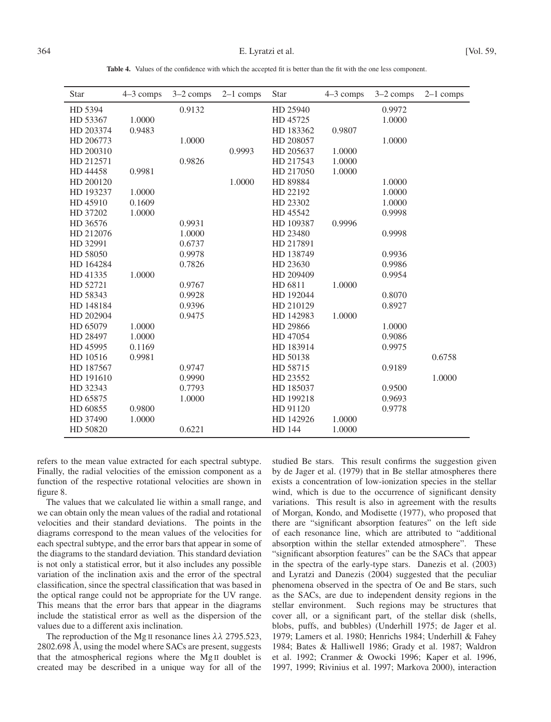**Table 4.** Values of the confidence with which the accepted fit is better than the fit with the one less component.

| Star      | 4-3 comps | 3-2 comps | $2-1$ comps | Star      | 4-3 comps | 3-2 comps | $2-1$ comps |
|-----------|-----------|-----------|-------------|-----------|-----------|-----------|-------------|
| HD 5394   |           | 0.9132    |             | HD 25940  |           | 0.9972    |             |
| HD 53367  | 1.0000    |           |             | HD 45725  |           | 1.0000    |             |
| HD 203374 | 0.9483    |           |             | HD 183362 | 0.9807    |           |             |
| HD 206773 |           | 1.0000    |             | HD 208057 |           | 1.0000    |             |
| HD 200310 |           |           | 0.9993      | HD 205637 | 1.0000    |           |             |
| HD 212571 |           | 0.9826    |             | HD 217543 | 1.0000    |           |             |
| HD 44458  | 0.9981    |           |             | HD 217050 | 1.0000    |           |             |
| HD 200120 |           |           | 1.0000      | HD 89884  |           | 1.0000    |             |
| HD 193237 | 1.0000    |           |             | HD 22192  |           | 1.0000    |             |
| HD 45910  | 0.1609    |           |             | HD 23302  |           | 1.0000    |             |
| HD 37202  | 1.0000    |           |             | HD 45542  |           | 0.9998    |             |
| HD 36576  |           | 0.9931    |             | HD 109387 | 0.9996    |           |             |
| HD 212076 |           | 1.0000    |             | HD 23480  |           | 0.9998    |             |
| HD 32991  |           | 0.6737    |             | HD 217891 |           |           |             |
| HD 58050  |           | 0.9978    |             | HD 138749 |           | 0.9936    |             |
| HD 164284 |           | 0.7826    |             | HD 23630  |           | 0.9986    |             |
| HD 41335  | 1.0000    |           |             | HD 209409 |           | 0.9954    |             |
| HD 52721  |           | 0.9767    |             | HD 6811   | 1.0000    |           |             |
| HD 58343  |           | 0.9928    |             | HD 192044 |           | 0.8070    |             |
| HD 148184 |           | 0.9396    |             | HD 210129 |           | 0.8927    |             |
| HD 202904 |           | 0.9475    |             | HD 142983 | 1.0000    |           |             |
| HD 65079  | 1.0000    |           |             | HD 29866  |           | 1.0000    |             |
| HD 28497  | 1.0000    |           |             | HD 47054  |           | 0.9086    |             |
| HD 45995  | 0.1169    |           |             | HD 183914 |           | 0.9975    |             |
| HD 10516  | 0.9981    |           |             | HD 50138  |           |           | 0.6758      |
| HD 187567 |           | 0.9747    |             | HD 58715  |           | 0.9189    |             |
| HD 191610 |           | 0.9990    |             | HD 23552  |           |           | 1.0000      |
| HD 32343  |           | 0.7793    |             | HD 185037 |           | 0.9500    |             |
| HD 65875  |           | 1.0000    |             | HD 199218 |           | 0.9693    |             |
| HD 60855  | 0.9800    |           |             | HD 91120  |           | 0.9778    |             |
| HD 37490  | 1.0000    |           |             | HD 142926 | 1.0000    |           |             |
| HD 50820  |           | 0.6221    |             | HD 144    | 1.0000    |           |             |

refers to the mean value extracted for each spectral subtype. Finally, the radial velocities of the emission component as a function of the respective rotational velocities are shown in figure 8.

The values that we calculated lie within a small range, and we can obtain only the mean values of the radial and rotational velocities and their standard deviations. The points in the diagrams correspond to the mean values of the velocities for each spectral subtype, and the error bars that appear in some of the diagrams to the standard deviation. This standard deviation is not only a statistical error, but it also includes any possible variation of the inclination axis and the error of the spectral classification, since the spectral classification that was based in the optical range could not be appropriate for the UV range. This means that the error bars that appear in the diagrams include the statistical error as well as the dispersion of the values due to a different axis inclination.

The reproduction of the Mg II resonance lines  $\lambda \lambda$  2795.523, 2802.698 Å, using the model where SACs are present, suggests that the atmospherical regions where the Mg II doublet is created may be described in a unique way for all of the studied Be stars. This result confirms the suggestion given by de Jager et al. (1979) that in Be stellar atmospheres there exists a concentration of low-ionization species in the stellar wind, which is due to the occurrence of significant density variations. This result is also in agreement with the results of Morgan, Kondo, and Modisette (1977), who proposed that there are "significant absorption features" on the left side of each resonance line, which are attributed to "additional absorption within the stellar extended atmosphere". These "significant absorption features" can be the SACs that appear in the spectra of the early-type stars. Danezis et al. (2003) and Lyratzi and Danezis (2004) suggested that the peculiar phenomena observed in the spectra of Oe and Be stars, such as the SACs, are due to independent density regions in the stellar environment. Such regions may be structures that cover all, or a significant part, of the stellar disk (shells, blobs, puffs, and bubbles) (Underhill 1975; de Jager et al. 1979; Lamers et al. 1980; Henrichs 1984; Underhill & Fahey 1984; Bates & Halliwell 1986; Grady et al. 1987; Waldron et al. 1992; Cranmer & Owocki 1996; Kaper et al. 1996, 1997, 1999; Rivinius et al. 1997; Markova 2000), interaction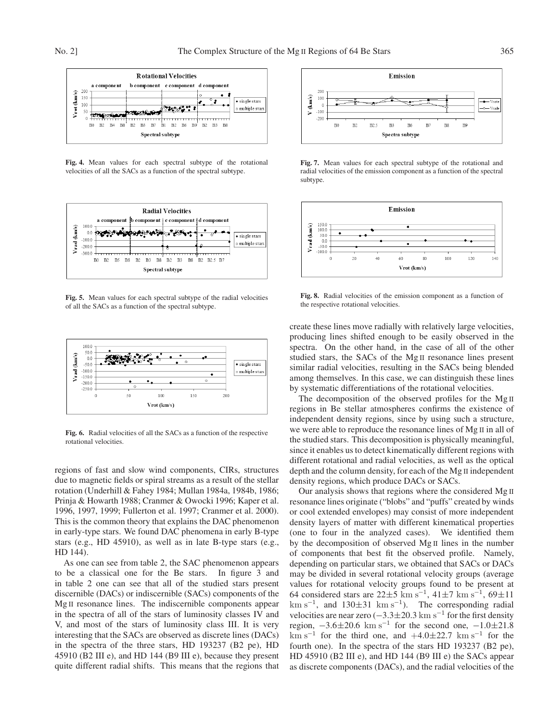

**Fig. 4.** Mean values for each spectral subtype of the rotational velocities of all the SACs as a function of the spectral subtype.



**Fig. 5.** Mean values for each spectral subtype of the radial velocities of all the SACs as a function of the spectral subtype.



**Fig. 6.** Radial velocities of all the SACs as a function of the respective rotational velocities.

regions of fast and slow wind components, CIRs, structures due to magnetic fields or spiral streams as a result of the stellar rotation (Underhill & Fahey 1984; Mullan 1984a, 1984b, 1986; Prinja & Howarth 1988; Cranmer & Owocki 1996; Kaper et al. 1996, 1997, 1999; Fullerton et al. 1997; Cranmer et al. 2000). This is the common theory that explains the DAC phenomenon in early-type stars. We found DAC phenomena in early B-type stars (e.g., HD 45910), as well as in late B-type stars (e.g., HD 144).

As one can see from table 2, the SAC phenomenon appears to be a classical one for the Be stars. In figure 3 and in table 2 one can see that all of the studied stars present discernible (DACs) or indiscernible (SACs) components of the Mg II resonance lines. The indiscernible components appear in the spectra of all of the stars of luminosity classes IV and V, and most of the stars of luminosity class III. It is very interesting that the SACs are observed as discrete lines (DACs) in the spectra of the three stars, HD 193237 (B2 pe), HD 45910 (B2 III e), and HD 144 (B9 III e), because they present quite different radial shifts. This means that the regions that



**Fig. 7.** Mean values for each spectral subtype of the rotational and radial velocities of the emission component as a function of the spectral subtype.



**Fig. 8.** Radial velocities of the emission component as a function of the respective rotational velocities.

create these lines move radially with relatively large velocities, producing lines shifted enough to be easily observed in the spectra. On the other hand, in the case of all of the other studied stars, the SACs of the Mg II resonance lines present similar radial velocities, resulting in the SACs being blended among themselves. In this case, we can distinguish these lines by systematic differentiations of the rotational velocities.

The decomposition of the observed profiles for the Mg II regions in Be stellar atmospheres confirms the existence of independent density regions, since by using such a structure, we were able to reproduce the resonance lines of Mg II in all of the studied stars. This decomposition is physically meaningful, since it enables us to detect kinematically different regions with different rotational and radial velocities, as well as the optical depth and the column density, for each of the Mg II independent density regions, which produce DACs or SACs.

Our analysis shows that regions where the considered Mg II resonance lines originate ("blobs" and "puffs" created by winds or cool extended envelopes) may consist of more independent density layers of matter with different kinematical properties (one to four in the analyzed cases). We identified them by the decomposition of observed Mg II lines in the number of components that best fit the observed profile. Namely, depending on particular stars, we obtained that SACs or DACs may be divided in several rotational velocity groups (average values for rotational velocity groups found to be present at 64 considered stars are  $22\pm 5$  km s<sup>-1</sup>,  $41\pm 7$  km s<sup>-1</sup>,  $69\pm 11$ <br>km s<sup>-1</sup>, and 130+31 km s<sup>-1</sup>). The corresponding radial km s<sup>-1</sup>, and 130 $\pm$ 31 km s<sup>-1</sup>). The corresponding radial<br>velocities are near zero (-3.3+20.3 km s<sup>-1</sup> for the first density velocities are near zero  $(-3.3\pm 20.3 \text{ km s}^{-1})$ <br>region  $(-3.6\pm 20.6 \text{ km s}^{-1})$  for the second velocities are near zero  $(-3.3 \pm 20.3 \text{ km s}^{-1})$  for the first density region,  $-3.6\pm20.6$  km s<sup>-1</sup> for the second one,  $-1.0\pm21.8$ <br>km s<sup>-1</sup> for the third one, and  $+4.0+22.7$  km s<sup>-1</sup> for the km s<sup>-1</sup> for the third one, and  $+4.0\pm22.7$  km s<sup>-1</sup> for the fourth one). In the spectra of the stars HD 193237 (B2 pe) fourth one). In the spectra of the stars HD 193237 (B2 pe), HD 45910 (B2 III e), and HD 144 (B9 III e) the SACs appear as discrete components (DACs), and the radial velocities of the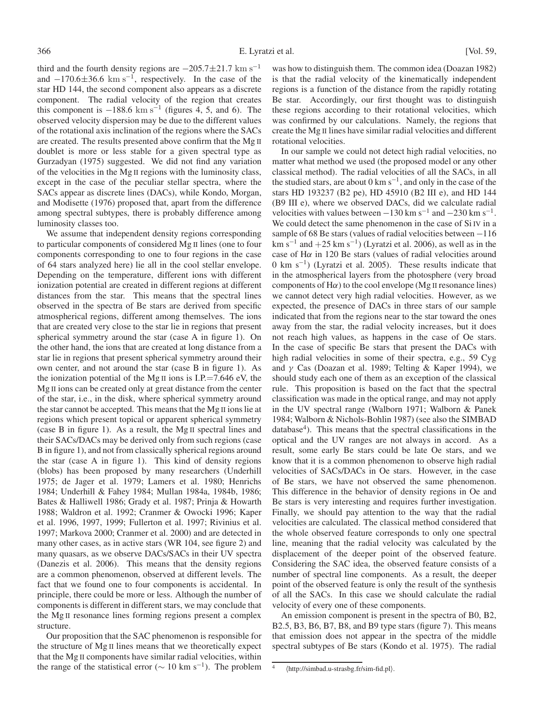third and the fourth density regions are  $-205.7 \pm 21.7$  km s<sup>-1</sup><br>and  $-170.6 \pm 36.6$  km s<sup>-1</sup> respectively. In the case of the and  $-170.6\pm36.6$  km s<sup>-1</sup>, respectively. In the case of the star HD 144, the second component also appears as a discrete star HD 144, the second component also appears as a discrete component. The radial velocity of the region that creates this component is  $-188.6 \text{ km s}^{-1}$  (figures 4, 5, and 6). The observed velocity dispersion may be due to the different values observed velocity dispersion may be due to the different values of the rotational axis inclination of the regions where the SACs are created. The results presented above confirm that the Mg II doublet is more or less stable for a given spectral type as Gurzadyan (1975) suggested. We did not find any variation of the velocities in the Mg II regions with the luminosity class, except in the case of the peculiar stellar spectra, where the SACs appear as discrete lines (DACs), while Kondo, Morgan, and Modisette (1976) proposed that, apart from the difference among spectral subtypes, there is probably difference among luminosity classes too.

We assume that independent density regions corresponding to particular components of considered Mg II lines (one to four components corresponding to one to four regions in the case of 64 stars analyzed here) lie all in the cool stellar envelope. Depending on the temperature, different ions with different ionization potential are created in different regions at different distances from the star. This means that the spectral lines observed in the spectra of Be stars are derived from specific atmospherical regions, different among themselves. The ions that are created very close to the star lie in regions that present spherical symmetry around the star (case A in figure 1). On the other hand, the ions that are created at long distance from a star lie in regions that present spherical symmetry around their own center, and not around the star (case B in figure 1). As the ionization potential of the Mg II ions is  $I.P.=7.646$  eV, the Mg II ions can be created only at great distance from the center of the star, i.e., in the disk, where spherical symmetry around the star cannot be accepted. This means that the Mg II ions lie at regions which present topical or apparent spherical symmetry (case B in figure 1). As a result, the Mg II spectral lines and their SACs/DACs may be derived only from such regions (case B in figure 1), and not from classically spherical regions around the star (case A in figure 1). This kind of density regions (blobs) has been proposed by many researchers (Underhill 1975; de Jager et al. 1979; Lamers et al. 1980; Henrichs 1984; Underhill & Fahey 1984; Mullan 1984a, 1984b, 1986; Bates & Halliwell 1986; Grady et al. 1987; Prinja & Howarth 1988; Waldron et al. 1992; Cranmer & Owocki 1996; Kaper et al. 1996, 1997, 1999; Fullerton et al. 1997; Rivinius et al. 1997; Markova 2000; Cranmer et al. 2000) and are detected in many other cases, as in active stars (WR 104, see figure 2) and many quasars, as we observe DACs/SACs in their UV spectra (Danezis et al. 2006). This means that the density regions are a common phenomenon, observed at different levels. The fact that we found one to four components is accidental. In principle, there could be more or less. Although the number of components is different in different stars, we may conclude that the Mg II resonance lines forming regions present a complex structure.

Our proposition that the SAC phenomenon is responsible for the structure of Mg II lines means that we theoretically expect that the Mg II components have similar radial velocities, within the range of the statistical error ( $\sim 10 \text{ km s}^{-1}$ ). The problem

was how to distinguish them. The common idea (Doazan 1982) is that the radial velocity of the kinematically independent regions is a function of the distance from the rapidly rotating Be star. Accordingly, our first thought was to distinguish these regions according to their rotational velocities, which was confirmed by our calculations. Namely, the regions that create the Mg II lines have similar radial velocities and different rotational velocities.

In our sample we could not detect high radial velocities, no matter what method we used (the proposed model or any other classical method). The radial velocities of all the SACs, in all the studied stars, are about 0 km  $s^{-1}$ , and only in the case of the stars HD 193237 (B2 pe), HD 45910 (B2 III e), and HD 144 (B9 III e), where we observed DACs, did we calculate radial velocities with values between  $-130 \text{ km s}^{-1}$  and  $-230 \text{ km s}^{-1}$ .<br>We could detect the same phenomenon in the case of Si IV in a We could detect the same phenomenon in the case of Si IV in a sample of 68 Be stars (values of radial velocities between  $-116$ <br>km s<sup>-1</sup> and  $+25$  km s<sup>-1</sup>) (Lyratzi et al. 2006), as well as in the  $\text{km s}^{-1}$  and  $+25 \text{ km s}^{-1}$ ) (Lyratzi et al. 2006), as well as in the case of  $H\alpha$  in 120 Be stars (values of radial velocities around  $0 \text{ km s}^{-1}$ ) (Lyratzi et al. 2005). These results indicate that in the atmospherical layers from the photosphere (very broad components of  $H\alpha$ ) to the cool envelope (Mg II resonance lines) we cannot detect very high radial velocities. However, as we expected, the presence of DACs in three stars of our sample indicated that from the regions near to the star toward the ones away from the star, the radial velocity increases, but it does not reach high values, as happens in the case of Oe stars. In the case of specific Be stars that present the DACs with high radial velocities in some of their spectra, e.g., 59 Cyg and  $\gamma$  Cas (Doazan et al. 1989; Telting & Kaper 1994), we should study each one of them as an exception of the classical rule. This proposition is based on the fact that the spectral classification was made in the optical range, and may not apply in the UV spectral range (Walborn 1971; Walborn & Panek 1984; Walborn & Nichols-Bohlin 1987) (see also the SIMBAD  $database<sup>4</sup>$ . This means that the spectral classifications in the optical and the UV ranges are not always in accord. As a result, some early Be stars could be late Oe stars, and we know that it is a common phenomenon to observe high radial velocities of SACs/DACs in Oe stars. However, in the case of Be stars, we have not observed the same phenomenon. This difference in the behavior of density regions in Oe and Be stars is very interesting and requires further investigation. Finally, we should pay attention to the way that the radial velocities are calculated. The classical method considered that the whole observed feature corresponds to only one spectral line, meaning that the radial velocity was calculated by the displacement of the deeper point of the observed feature. Considering the SAC idea, the observed feature consists of a number of spectral line components. As a result, the deeper point of the observed feature is only the result of the synthesis of all the SACs. In this case we should calculate the radial velocity of every one of these components.

An emission component is present in the spectra of B0, B2, B2.5, B3, B6, B7, B8, and B9 type stars (figure 7). This means that emission does not appear in the spectra of the middle spectral subtypes of Be stars (Kondo et al. 1975). The radial

4

 $\langle$ http://simbad.u-strasbg.fr/sim-fid.pl $\rangle$ .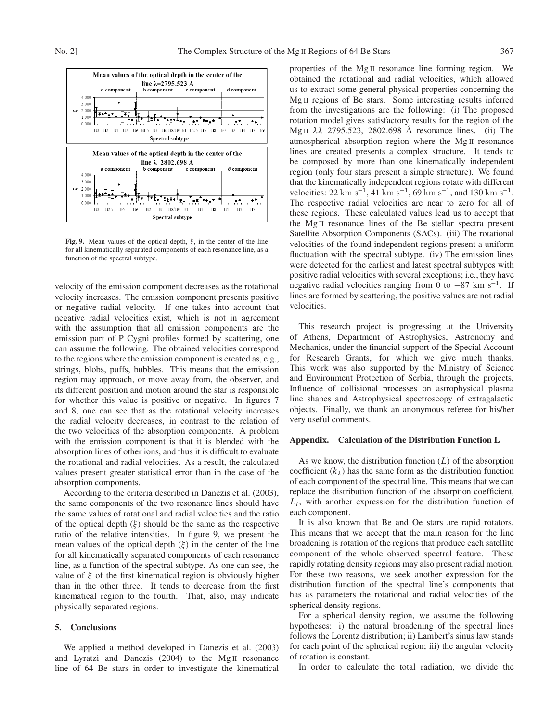

**Fig. 9.** Mean values of the optical depth,  $\xi$ , in the center of the line for all kinematically separated components of each resonance line, as a function of the spectral subtype.

velocity of the emission component decreases as the rotational velocity increases. The emission component presents positive or negative radial velocity. If one takes into account that negative radial velocities exist, which is not in agreement with the assumption that all emission components are the emission part of P Cygni profiles formed by scattering, one can assume the following. The obtained velocities correspond to the regions where the emission component is created as, e.g., strings, blobs, puffs, bubbles. This means that the emission region may approach, or move away from, the observer, and its different position and motion around the star is responsible for whether this value is positive or negative. In figures 7 and 8, one can see that as the rotational velocity increases the radial velocity decreases, in contrast to the relation of the two velocities of the absorption components. A problem with the emission component is that it is blended with the absorption lines of other ions, and thus it is difficult to evaluate the rotational and radial velocities. As a result, the calculated values present greater statistical error than in the case of the absorption components.

According to the criteria described in Danezis et al. (2003), the same components of the two resonance lines should have the same values of rotational and radial velocities and the ratio of the optical depth  $(\xi)$  should be the same as the respective ratio of the relative intensities. In figure 9, we present the mean values of the optical depth  $(\xi)$  in the center of the line for all kinematically separated components of each resonance line, as a function of the spectral subtype. As one can see, the value of  $\xi$  of the first kinematical region is obviously higher than in the other three. It tends to decrease from the first kinematical region to the fourth. That, also, may indicate physically separated regions.

### **5. Conclusions**

We applied a method developed in Danezis et al. (2003) and Lyratzi and Danezis (2004) to the Mg II resonance line of 64 Be stars in order to investigate the kinematical properties of the Mg II resonance line forming region. We obtained the rotational and radial velocities, which allowed us to extract some general physical properties concerning the Mg II regions of Be stars. Some interesting results inferred from the investigations are the following: (i) The proposed rotation model gives satisfactory results for the region of the Mg II  $\lambda \lambda$  2795.523, 2802.698 Å resonance lines. (ii) The atmospherical absorption region where the Mg II resonance lines are created presents a complex structure. It tends to be composed by more than one kinematically independent region (only four stars present a simple structure). We found that the kinematically independent regions rotate with different velocities: 22 km s<sup>-1</sup>, 41 km s<sup>-1</sup>, 69 km s<sup>-1</sup>, and 130 km s<sup>-1</sup>. The respective radial velocities are near to zero for all of these regions. These calculated values lead us to accept that the Mg II resonance lines of the Be stellar spectra present Satellite Absorption Components (SACs). (iii) The rotational velocities of the found independent regions present a uniform fluctuation with the spectral subtype. (iv) The emission lines were detected for the earliest and latest spectral subtypes with positive radial velocities with several exceptions; i.e., they have negative radial velocities ranging from  $\overline{0}$  to  $-87$  km s<sup>-1</sup>. If<br>lines are formed by scattering the positive values are not radial lines are formed by scattering, the positive values are not radial velocities.

This research project is progressing at the University of Athens, Department of Astrophysics, Astronomy and Mechanics, under the financial support of the Special Account for Research Grants, for which we give much thanks. This work was also supported by the Ministry of Science and Environment Protection of Serbia, through the projects, Influence of collisional processes on astrophysical plasma line shapes and Astrophysical spectroscopy of extragalactic objects. Finally, we thank an anonymous referee for his/her very useful comments.

### **Appendix. Calculation of the Distribution Function L**

As we know, the distribution function  $(L)$  of the absorption coefficient  $(k_{\lambda})$  has the same form as the distribution function of each component of the spectral line. This means that we can replace the distribution function of the absorption coefficient,  $L_i$ , with another expression for the distribution function of each component.

It is also known that Be and Oe stars are rapid rotators. This means that we accept that the main reason for the line broadening is rotation of the regions that produce each satellite component of the whole observed spectral feature. These rapidly rotating density regions may also present radial motion. For these two reasons, we seek another expression for the distribution function of the spectral line's components that has as parameters the rotational and radial velocities of the spherical density regions.

For a spherical density region, we assume the following hypotheses: i) the natural broadening of the spectral lines follows the Lorentz distribution; ii) Lambert's sinus law stands for each point of the spherical region; iii) the angular velocity of rotation is constant.

In order to calculate the total radiation, we divide the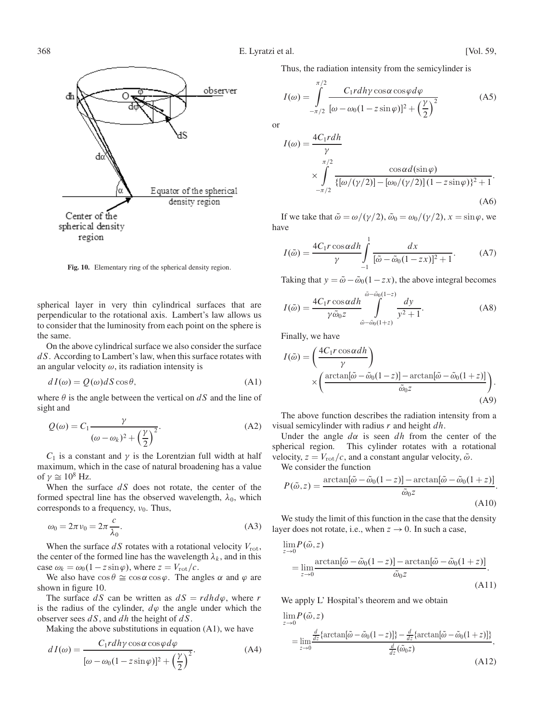

**Fig. 10.** Elementary ring of the spherical density region.

spherical layer in very thin cylindrical surfaces that are perpendicular to the rotational axis. Lambert's law allows us to consider that the luminosity from each point on the sphere is the same.

On the above cylindrical surface we also consider the surface  $dS$ . According to Lambert's law, when this surface rotates with an angular velocity  $\omega$ , its radiation intensity is

$$
dI(\omega) = Q(\omega)dS\cos\theta,\tag{A1}
$$

where  $\theta$  is the angle between the vertical on dS and the line of sight and

$$
Q(\omega) = C_1 \frac{\gamma}{(\omega - \omega_k)^2 + \left(\frac{\gamma}{2}\right)^2}.
$$
 (A2)

 $C_1$  is a constant and  $\gamma$  is the Lorentzian full width at half maximum, which in the case of natural broadening has a value of  $v \approx 10^8$  Hz.

When the surface  $dS$  does not rotate, the center of the formed spectral line has the observed wavelength,  $\lambda_0$ , which corresponds to a frequency,  $v_0$ . Thus,

$$
\omega_0 = 2\pi \nu_0 = 2\pi \frac{c}{\lambda_0}.
$$
\n(A3)

When the surface  $dS$  rotates with a rotational velocity  $V_{\text{rot}}$ , the center of the formed line has the wavelength  $\lambda_k$ , and in this case  $\omega_k = \omega_0 (1 - z \sin \varphi)$ , where  $z = V_{\rm rot}/c$ .<br>We also have  $\cos \theta \approx \cos \alpha \cos \varphi$ . The an

We also have  $\cos \theta \cong \cos \alpha \cos \varphi$ . The angles  $\alpha$  and  $\varphi$  are shown in figure 10.

The surface dS can be written as  $dS = rdh d\varphi$ , where r is the radius of the cylinder,  $d\varphi$  the angle under which the observer sees  $dS$ , and  $dh$  the height of  $dS$ .

Making the above substitutions in equation  $(A1)$ , we have

$$
dI(\omega) = \frac{C_1 r d h \gamma \cos \alpha \cos \varphi d \varphi}{[\omega - \omega_0 (1 - z \sin \varphi)]^2 + \left(\frac{\gamma}{2}\right)^2}.
$$
 (A4)

Thus, the radiation intensity from the semicylinder is

$$
I(\omega) = \int_{-\pi/2}^{\pi/2} \frac{C_1 r dh \gamma \cos \alpha \cos \varphi d\varphi}{[\omega - \omega_0 (1 - z \sin \varphi)]^2 + \left(\frac{\gamma}{2}\right)^2}
$$
(A5)

or

$$
I(\omega) = \frac{4C_1 r dh}{\gamma}
$$
  
\n
$$
\times \int_{-\pi/2}^{\pi/2} \frac{\cos \alpha d(\sin \varphi)}{\{[\omega/(\gamma/2)] - [\omega_0/(\gamma/2)](1 - z \sin \varphi)\}^2 + 1}.
$$
  
\n(A6)

If we take that  $\tilde{\omega} = \omega/(\gamma/2), \tilde{\omega}_0 = \omega_0/(\gamma/2), x = \sin\varphi$ , we have

$$
I(\tilde{\omega}) = \frac{4C_1r \cos \alpha dh}{\gamma} \int_{-1}^{1} \frac{dx}{[\tilde{\omega} - \tilde{\omega}_0(1 - zx)]^2 + 1}.
$$
 (A7)

Taking that  $y = \tilde{\omega} - \tilde{\omega}_0(1 - zx)$ , the above integral becomes

$$
I(\tilde{\omega}) = \frac{4C_1 r \cos \alpha d h}{\gamma \tilde{\omega}_0 z} \int\limits_{\tilde{\omega} - \tilde{\omega}_0(1+z)}^{\tilde{\omega} - \tilde{\omega}_0(1-z)} \frac{dy}{y^2 + 1}.
$$
 (A8)

Finally, we have

$$
I(\tilde{\omega}) = \left(\frac{4C_1r\cos\alpha dh}{\gamma}\right)
$$

$$
\times \left(\frac{\arctan[\tilde{\omega} - \tilde{\omega}_0(1-z)] - \arctan[\tilde{\omega} - \tilde{\omega}_0(1+z)]}{\tilde{\omega}_0 z}\right).
$$
(A9)

The above function describes the radiation intensity from a visual semicylinder with radius  $r$  and height  $dh$ .

Under the angle  $d\alpha$  is seen dh from the center of the spherical region. This cylinder rotates with a rotational velocity,  $z = V_{\text{rot}}/c$ , and a constant angular velocity,  $\tilde{\omega}$ .

We consider the function

$$
P(\tilde{\omega}, z) = \frac{\arctan[\tilde{\omega} - \tilde{\omega}_0(1-z)] - \arctan[\tilde{\omega} - \tilde{\omega}_0(1+z)]}{\tilde{\omega}_0 z}.
$$
\n(A10)

We study the limit of this function in the case that the density layer does not rotate, i.e., when  $z \rightarrow 0$ . In such a case,

$$
\lim_{z \to 0} P(\tilde{\omega}, z)
$$
\n
$$
= \lim_{z \to 0} \frac{\arctan[\tilde{\omega} - \tilde{\omega}_0(1 - z)] - \arctan[\tilde{\omega} - \tilde{\omega}_0(1 + z)]}{\tilde{\omega}_0 z}.
$$
\n(A11)

We apply L' Hospital's theorem and we obtain

$$
\lim_{z \to 0} P(\tilde{\omega}, z)
$$
\n
$$
= \lim_{z \to 0} \frac{\frac{d}{dz} \{\arctan[\tilde{\omega} - \tilde{\omega}_0(1-z)]\} - \frac{d}{dz} \{\arctan[\tilde{\omega} - \tilde{\omega}_0(1+z)]\}}{\frac{d}{dz}(\tilde{\omega}_0 z)},
$$
\n(A12)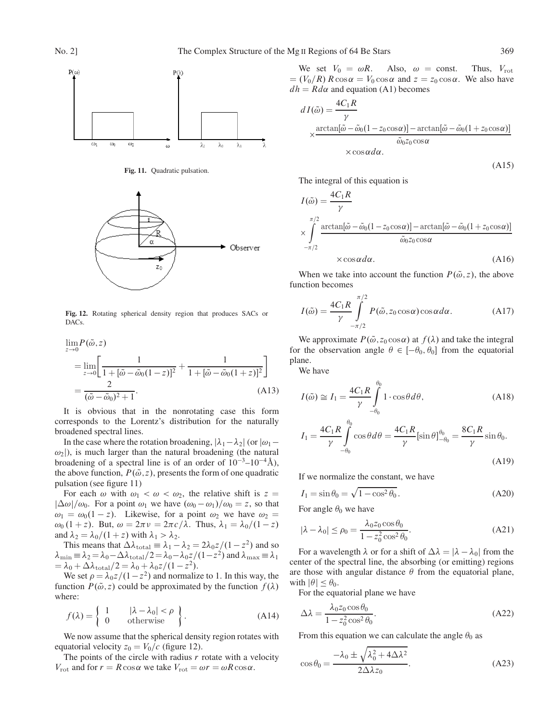### No. 2] The Complex Structure of the Mg II Regions of 64 Be Stars 369



**Fig. 11.** Quadratic pulsation.



**Fig. 12.** Rotating spherical density region that produces SACs or DACs.

$$
\lim_{z \to 0} P(\tilde{\omega}, z)
$$
\n
$$
= \lim_{z \to 0} \left[ \frac{1}{1 + [\tilde{\omega} - \tilde{\omega}_0 (1 - z)]^2} + \frac{1}{1 + [\tilde{\omega} - \tilde{\omega}_0 (1 + z)]^2} \right]
$$
\n
$$
= \frac{2}{(\tilde{\omega} - \tilde{\omega}_0)^2 + 1}.
$$
\n(A13)

It is obvious that in the nonrotating case this form corresponds to the Lorentz's distribution for the naturally broadened spectral lines.

In the case where the rotation broadening,  $|\lambda_1 - \lambda_2|$  (or  $|\omega_1 - \lambda_2|$ ) is much larger than the natural broadening (the natural  $\omega_2$ ), is much larger than the natural broadening (the natural broadening of a spectral line is of an order of  $10^{-3}$ – $10^{-4}$ Å), the above function,  $P(\tilde{\omega}, z)$ , presents the form of one quadratic pulsation (see figure 11)

For each  $\omega$  with  $\omega_1 < \omega < \omega_2$ , the relative shift is z =  $|\Delta \omega|/\omega_0$ . For a point  $\omega_1$  we have  $(\omega_0 - \omega_1)/\omega_0 = z$ , so that  $\omega_1 = \omega_0 (1 - z)$ . Likewise, for a point  $\omega_0$  we have  $\omega_1 =$  $\omega_1 = \omega_0(1-z)$ . Likewise, for a point  $\omega_2$  we have  $\omega_2 =$ <br> $\omega_0(1+z)$ . But  $\omega = 2\pi\nu - 2\pi c/\lambda$ . Thus  $\lambda_1 = \lambda_0/(1-z)$ .  $\omega_0(1+z)$ . But,  $\omega = 2\pi v = 2\pi c/\lambda$ . Thus,  $\lambda_1 = \lambda_0/(1-z)$ <br>and  $\lambda_2 = \lambda_0/(1+z)$  with  $\lambda_1 > \lambda_2$ . and  $\lambda_2 = \lambda_0/(1 + z)$  with  $\lambda_1 > \lambda_2$ .

This means that  $\Delta \lambda_{\text{total}} \equiv \lambda_1 - \lambda_2 = 2\lambda_0 z/(1-z^2)$  and so  $\lambda_{\text{total}} = \lambda_0 = \lambda_0 z/(1-z^2)$  and  $\lambda_{\text{total}} = \lambda_1$  $\lambda_{\min} = \lambda_2 = \lambda_0 - \Delta\lambda_{\text{total}}/2 = \lambda_0 - \lambda_0 z/(1-z^2)$  and  $\lambda_{\max} = \lambda_1$ <br>-  $\lambda_2 + \Delta\lambda_{\text{total}}/2 = \lambda_0 + \lambda_0 z/(1-z^2)$  $=\lambda_0 + \Delta\lambda_{\text{total}}/2 = \lambda_0 + \lambda_0 z/(1 - z^2).$ <br>We set  $\rho = \lambda_0 z/(1 - z^2)$  and normalize

We set  $\rho = \lambda_0 z/(1-z^2)$  and normalize to 1. In this way, the partial  $P(\tilde{\omega}, z)$  could be approximated by the function  $f(\lambda)$ function  $P(\tilde{\omega}, z)$  could be approximated by the function  $f(\lambda)$ where:

$$
f(\lambda) = \begin{cases} 1 & |\lambda - \lambda_0| < \rho \\ 0 & \text{otherwise} \end{cases}.
$$
 (A14)

We now assume that the spherical density region rotates with equatorial velocity  $z_0 = V_0/c$  (figure 12).

The points of the circle with radius  $r$  rotate with a velocity  $V_{\text{rot}}$  and for  $r = R \cos \alpha$  we take  $V_{\text{rot}} = \omega r = \omega R \cos \alpha$ .

We set  $V_0 = \omega R$ . Also,  $\omega$  = const. Thus,  $V_{\text{rot}}$  $=(V_0/R)R\cos\alpha = V_0\cos\alpha$  and  $z = z_0\cos\alpha$ . We also have  $dh = Rd\alpha$  and equation (A1) becomes

$$
dI(\tilde{\omega}) = \frac{4C_1R}{\gamma}
$$
  
 
$$
\times \frac{\arctan[\tilde{\omega} - \tilde{\omega}_0(1 - z_0 \cos \alpha)] - \arctan[\tilde{\omega} - \tilde{\omega}_0(1 + z_0 \cos \alpha)]}{\tilde{\omega}_0 z_0 \cos \alpha}
$$
  
 
$$
\times \cos \alpha d\alpha.
$$
 (4.15)

The integral of this equation is

$$
I(\tilde{\omega}) = \frac{4C_1R}{\gamma}
$$
  
\n
$$
\times \int_{-\pi/2}^{\pi/2} \frac{\arctan[\tilde{\omega} - \tilde{\omega}_0(1 - z_0 \cos \alpha)] - \arctan[\tilde{\omega} - \tilde{\omega}_0(1 + z_0 \cos \alpha)]}{\tilde{\omega}_0 z_0 \cos \alpha}
$$
  
\n
$$
\times \cos \alpha d\alpha.
$$
 (A16)

When we take into account the function  $P(\tilde{\omega}, z)$ , the above function becomes

$$
I(\tilde{\omega}) = \frac{4C_1R}{\gamma} \int_{-\pi/2}^{\pi/2} P(\tilde{\omega}, z_0 \cos \alpha) \cos \alpha d\alpha.
$$
 (A17)

We approximate  $P(\tilde{\omega}, z_0 \cos \alpha)$  at  $f(\lambda)$  and take the integral for the observation angle  $\theta \in [-\theta_0, \theta_0]$  from the equatorial plane plane.

We have

$$
I(\tilde{\omega}) \cong I_1 = \frac{4C_1R}{\gamma} \int_{-\theta_0}^{\theta_0} 1 \cdot \cos \theta d\theta, \qquad (A18)
$$

$$
I_1 = \frac{4C_1R}{\gamma} \int_{-\theta_0}^{\theta} \cos \theta d\theta = \frac{4C_1R}{\gamma} [\sin \theta]_{-\theta_0}^{\theta_0} = \frac{8C_1R}{\gamma} \sin \theta_0.
$$
\n(A19)

If we normalize the constant, we have

$$
I_1 = \sin \theta_0 = \sqrt{1 - \cos^2 \theta_0}.
$$
 (A20)

For angle  $\theta_0$  we have

$$
|\lambda - \lambda_0| \le \rho_0 = \frac{\lambda_0 z_0 \cos \theta_0}{1 - z_0^2 \cos^2 \theta_0}.
$$
 (A21)

For a wavelength  $\lambda$  or for a shift of  $\Delta \lambda = |\lambda - \lambda_0|$  from the nectral line the absorbing (or emitting) regions center of the spectral line, the absorbing (or emitting) regions are those with angular distance  $\theta$  from the equatorial plane, with  $|\theta| \leq \theta_0$ .

For the equatorial plane we have

$$
\Delta\lambda = \frac{\lambda_0 z_0 \cos \theta_0}{1 - z_0^2 \cos^2 \theta_0}.
$$
 (A22)

From this equation we can calculate the angle  $\theta_0$  as

$$
\cos \theta_0 = \frac{-\lambda_0 \pm \sqrt{\lambda_0^2 + 4\Delta\lambda^2}}{2\Delta\lambda z_0}.
$$
 (A23)

(A15)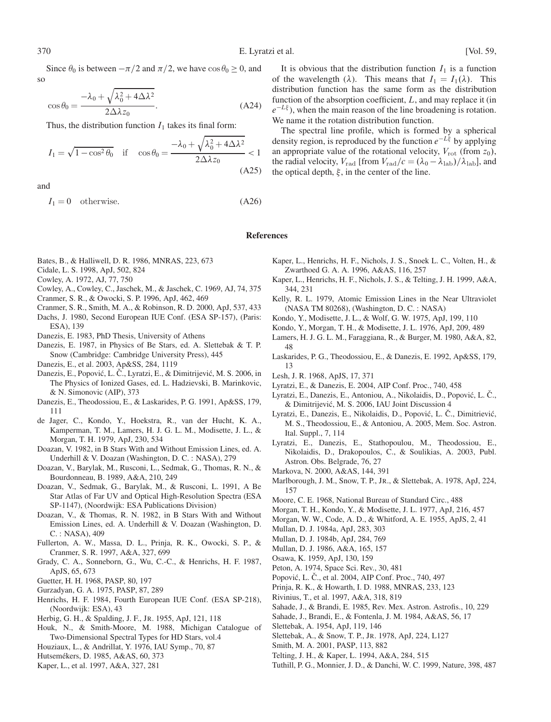370 E. Lyratzi et al. [Vol. 59,

Since  $\theta_0$  is between  $-\pi/2$  and  $\pi/2$ , we have  $\cos \theta_0 \ge 0$ , and so

$$
\cos \theta_0 = \frac{-\lambda_0 + \sqrt{\lambda_0^2 + 4\Delta\lambda^2}}{2\Delta\lambda z_0}.
$$
 (A24)

Thus, the distribution function  $I_1$  takes its final form:

$$
I_1 = \sqrt{1 - \cos^2 \theta_0} \quad \text{if} \quad \cos \theta_0 = \frac{-\lambda_0 + \sqrt{\lambda_0^2 + 4\Delta\lambda^2}}{2\Delta\lambda z_0} < 1 \tag{A25}
$$

and

$$
I_1 = 0 \quad \text{otherwise.} \tag{A26}
$$

It is obvious that the distribution function  $I_1$  is a function of the wavelength ( $\lambda$ ). This means that  $I_1 = I_1(\lambda)$ . This distribution function has the same form as the distribution function of the absorption coefficient, L, and may replace it (in  $e^{-L\xi}$ ), when the main reason of the line broadening is rotation. We name it the rotation distribution function.

The spectral line profile, which is formed by a spherical density region, is reproduced by the function  $e^{-L\xi}$  by applying an appropriate value of the rotational velocity,  $V_{\text{rot}}$  (from  $z_0$ ), the radial velocity,  $V_{\text{rad}}$  [from  $V_{\text{rad}}/c = (\lambda_0 - \lambda_{\text{lab}})/\lambda_{\text{lab}}$ ], and the optical depth  $\xi$  in the center of the line the optical depth,  $\xi$ , in the center of the line.

### **References**

- Bates, B., & Halliwell, D. R. 1986, MNRAS, 223, 673
- Cidale, L. S. 1998, ApJ, 502, 824
- Cowley, A. 1972, AJ, 77, 750
- Cowley, A., Cowley, C., Jaschek, M., & Jaschek, C. 1969, AJ, 74, 375
- Cranmer, S. R., & Owocki, S. P. 1996, ApJ, 462, 469
- Cranmer, S. R., Smith, M. A., & Robinson, R. D. 2000, ApJ, 537, 433
- Dachs, J. 1980, Second European IUE Conf. (ESA SP-157), (Paris: ESA), 139
- Danezis, E. 1983, PhD Thesis, University of Athens
- Danezis, E. 1987, in Physics of Be Stars, ed. A. Slettebak & T. P. Snow (Cambridge: Cambridge University Press), 445
- Danezis, E., et al. 2003, Ap&SS, 284, 1119
- Danezis, E., Popović, L. Č., Lyratzi, E., & Dimitrijević, M. S. 2006, in The Physics of Ionized Gases, ed. L. Hadzievski, B. Marinkovic, & N. Simonovic (AIP), 373
- Danezis, E., Theodossiou, E., & Laskarides, P. G. 1991, Ap&SS, 179, 111
- de Jager, C., Kondo, Y., Hoekstra, R., van der Hucht, K. A., Kamperman, T. M., Lamers, H. J. G. L. M., Modisette, J. L., & Morgan, T. H. 1979, ApJ, 230, 534
- Doazan, V. 1982, in B Stars With and Without Emission Lines, ed. A. Underhill & V. Doazan (Washington, D. C. : NASA), 279
- Doazan, V., Barylak, M., Rusconi, L., Sedmak, G., Thomas, R. N., & Bourdonneau, B. 1989, A&A, 210, 249
- Doazan, V., Sedmak, G., Barylak, M., & Rusconi, L. 1991, A Be Star Atlas of Far UV and Optical High-Resolution Spectra (ESA SP-1147), (Noordwijk: ESA Publications Division)
- Doazan, V., & Thomas, R. N. 1982, in B Stars With and Without Emission Lines, ed. A. Underhill & V. Doazan (Washington, D. C. : NASA), 409
- Fullerton, A. W., Massa, D. L., Prinja, R. K., Owocki, S. P., & Cranmer, S. R. 1997, A&A, 327, 699
- Grady, C. A., Sonneborn, G., Wu, C.-C., & Henrichs, H. F. 1987, ApJS, 65, 673
- Guetter, H. H. 1968, PASP, 80, 197
- Gurzadyan, G. A. 1975, PASP, 87, 289
- Henrichs, H. F. 1984, Fourth European IUE Conf. (ESA SP-218), (Noordwijk: ESA), 43
- Herbig, G. H., & Spalding, J. F., JR. 1955, ApJ, 121, 118
- Houk, N., & Smith-Moore, M. 1988, Michigan Catalogue of Two-Dimensional Spectral Types for HD Stars, vol.4
- Houziaux, L., & Andrillat, Y. 1976, IAU Symp., 70, 87
- Hutsemékers, D. 1985, A&AS, 60, 373
- Kaper, L., et al. 1997, A&A, 327, 281
- Kaper, L., Henrichs, H. F., Nichols, J. S., Snoek L. C., Volten, H., & Zwarthoed G. A. A. 1996, A&AS, 116, 257
- Kaper, L., Henrichs, H. F., Nichols, J. S., & Telting, J. H. 1999, A&A, 344, 231
- Kelly, R. L. 1979, Atomic Emission Lines in the Near Ultraviolet (NASA TM 80268), (Washington, D. C. : NASA)
- Kondo, Y., Modisette, J. L., & Wolf, G. W. 1975, ApJ, 199, 110
- Kondo, Y., Morgan, T. H., & Modisette, J. L. 1976, ApJ, 209, 489
- Lamers, H. J. G. L. M., Faraggiana, R., & Burger, M. 1980, A&A, 82, 48
- Laskarides, P. G., Theodossiou, E., & Danezis, E. 1992, Ap&SS, 179, 13
- Lesh, J. R. 1968, ApJS, 17, 371
- Lyratzi, E., & Danezis, E. 2004, AIP Conf. Proc., 740, 458
- Lyratzi, E., Danezis, E., Antoniou, A., Nikolaidis, D., Popović, L. Č., & Dimitrijević, M. S. 2006, IAU Joint Discussion 4
- Lyratzi, E., Danezis, E., Nikolaidis, D., Popović, L. C., Dimitriević, M. S., Theodossiou, E., & Antoniou, A. 2005, Mem. Soc. Astron. Ital. Suppl., 7, 114
- Lyratzi, E., Danezis, E., Stathopoulou, M., Theodossiou, E., Nikolaidis, D., Drakopoulos, C., & Soulikias, A. 2003, Publ. Astron. Obs. Belgrade, 76, 27
- Markova, N. 2000, A&AS, 144, 391
- Marlborough, J. M., Snow, T. P., JR., & Slettebak, A. 1978, ApJ, 224, 157
- Moore, C. E. 1968, National Bureau of Standard Circ., 488
- Morgan, T. H., Kondo, Y., & Modisette, J. L. 1977, ApJ, 216, 457
- Morgan, W. W., Code, A. D., & Whitford, A. E. 1955, ApJS, 2, 41
- Mullan, D. J. 1984a, ApJ, 283, 303
- Mullan, D. J. 1984b, ApJ, 284, 769
- Mullan, D. J. 1986, A&A, 165, 157
- Osawa, K. 1959, ApJ, 130, 159
- Peton, A. 1974, Space Sci. Rev., 30, 481
- Popović, L. Č., et al. 2004, AIP Conf. Proc., 740, 497
- Prinja, R. K., & Howarth, I. D. 1988, MNRAS, 233, 123
- Rivinius, T., et al. 1997, A&A, 318, 819
- Sahade, J., & Brandi, E. 1985, Rev. Mex. Astron. Astrofis., 10, 229
- Sahade, J., Brandi, E., & Fontenla, J. M. 1984, A&AS, 56, 17
- Slettebak, A. 1954, ApJ, 119, 146
- Slettebak, A., & Snow, T. P., JR. 1978, ApJ, 224, L127
- Smith, M. A. 2001, PASP, 113, 882
- Telting, J. H., & Kaper, L. 1994, A&A, 284, 515
- Tuthill, P. G., Monnier, J. D., & Danchi, W. C. 1999, Nature, 398, 487